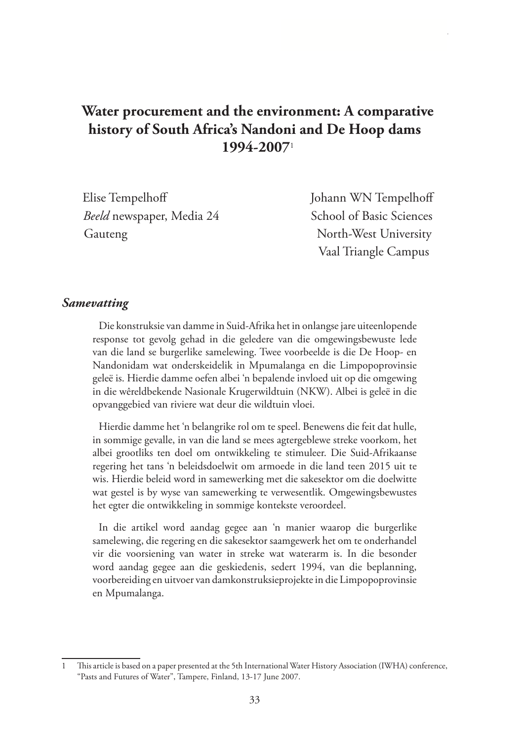# **Water procurement and the environment: A comparative history of South Africa's Nandoni and De Hoop dams 1994-2007**<sup>1</sup>

| Elise Tempelhoff          | Johann WN Tempelhoff     |
|---------------------------|--------------------------|
| Beeld newspaper, Media 24 | School of Basic Sciences |
| Gauteng                   | North-West University    |
|                           | Vaal Triangle Campus     |

#### *Samevatting*

Die konstruksie van damme in Suid-Afrika het in onlangse jare uiteenlopende response tot gevolg gehad in die geledere van die omgewingsbewuste lede van die land se burgerlike samelewing. Twee voorbeelde is die De Hoop- en Nandonidam wat onderskeidelik in Mpumalanga en die Limpopoprovinsie geleë is. Hierdie damme oefen albei 'n bepalende invloed uit op die omgewing in die wêreldbekende Nasionale Krugerwildtuin (NKW). Albei is geleë in die opvanggebied van riviere wat deur die wildtuin vloei.

Hierdie damme het 'n belangrike rol om te speel. Benewens die feit dat hulle, in sommige gevalle, in van die land se mees agtergeblewe streke voorkom, het albei grootliks ten doel om ontwikkeling te stimuleer. Die Suid-Afrikaanse regering het tans 'n beleidsdoelwit om armoede in die land teen 2015 uit te wis. Hierdie beleid word in samewerking met die sakesektor om die doelwitte wat gestel is by wyse van samewerking te verwesentlik. Omgewingsbewustes het egter die ontwikkeling in sommige kontekste veroordeel.

In die artikel word aandag gegee aan 'n manier waarop die burgerlike samelewing, die regering en die sakesektor saamgewerk het om te onderhandel vir die voorsiening van water in streke wat waterarm is. In die besonder word aandag gegee aan die geskiedenis, sedert 1994, van die beplanning, voorbereiding en uitvoer van damkonstruksieprojekte in die Limpopoprovinsie en Mpumalanga.

<sup>1</sup> This article is based on a paper presented at the 5th International Water History Association (IWHA) conference, "Pasts and Futures of Water", Tampere, Finland, 13-17 June 2007.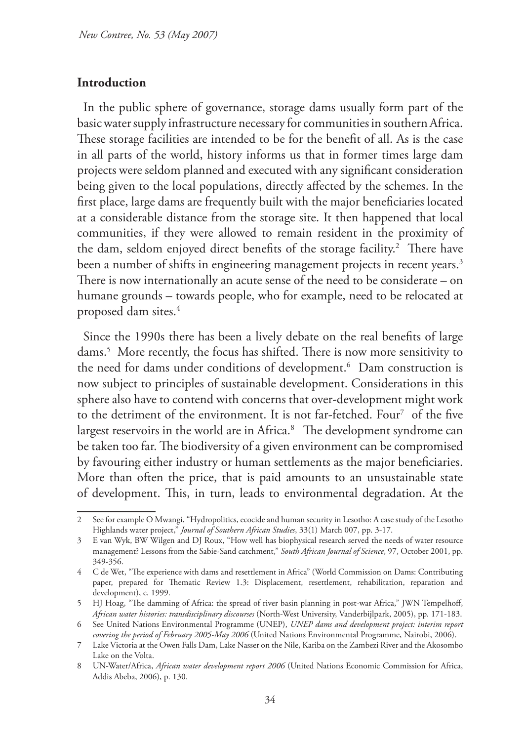#### **Introduction**

In the public sphere of governance, storage dams usually form part of the basic water supply infrastructure necessary for communities in southern Africa. These storage facilities are intended to be for the benefit of all. As is the case in all parts of the world, history informs us that in former times large dam projects were seldom planned and executed with any significant consideration being given to the local populations, directly affected by the schemes. In the first place, large dams are frequently built with the major beneficiaries located at a considerable distance from the storage site. It then happened that local communities, if they were allowed to remain resident in the proximity of the dam, seldom enjoyed direct benefits of the storage facility.<sup>2</sup> There have been a number of shifts in engineering management projects in recent years.<sup>3</sup> There is now internationally an acute sense of the need to be considerate – on humane grounds – towards people, who for example, need to be relocated at proposed dam sites. $^4$ 

Since the 1990s there has been a lively debate on the real benefits of large dams.5 More recently, the focus has shifted. There is now more sensitivity to the need for dams under conditions of development.6 Dam construction is now subject to principles of sustainable development. Considerations in this sphere also have to contend with concerns that over-development might work to the detriment of the environment. It is not far-fetched. Four<sup>7</sup> of the five largest reservoirs in the world are in Africa.8 The development syndrome can be taken too far. The biodiversity of a given environment can be compromised by favouring either industry or human settlements as the major beneficiaries. More than often the price, that is paid amounts to an unsustainable state of development. This, in turn, leads to environmental degradation. At the

<sup>2</sup> See for example O Mwangi, "Hydropolitics, ecocide and human security in Lesotho: A case study of the Lesotho Highlands water project," *Journal of Southern African Studies*, 33(1) March 007, pp. 3-17.

<sup>3</sup> E van Wyk, BW Wilgen and DJ Roux, "How well has biophysical research served the needs of water resource management? Lessons from the Sabie-Sand catchment," *South African Journal of Science*, 97, October 2001, pp. 349-356.

<sup>4</sup> C de Wet, "The experience with dams and resettlement in Africa" (World Commission on Dams: Contributing paper, prepared for Thematic Review 1.3: Displacement, resettlement, rehabilitation, reparation and development), c. 1999.

<sup>5</sup> HJ Hoag, "The damming of Africa: the spread of river basin planning in post-war Africa," JWN Tempelhoff, *African water histories: transdisciplinary discourses* (North-West University, Vanderbijlpark, 2005), pp. 171-183.

<sup>6</sup> See United Nations Environmental Programme (UNEP), *UNEP dams and development project: interim report covering the period of February 2005-May 2006* (United Nations Environmental Programme, Nairobi, 2006).

<sup>7</sup> Lake Victoria at the Owen Falls Dam, Lake Nasser on the Nile, Kariba on the Zambezi River and the Akosombo Lake on the Volta.

<sup>8</sup> UN-Water/Africa, *African water development report 2006* (United Nations Economic Commission for Africa, Addis Abeba, 2006), p. 130.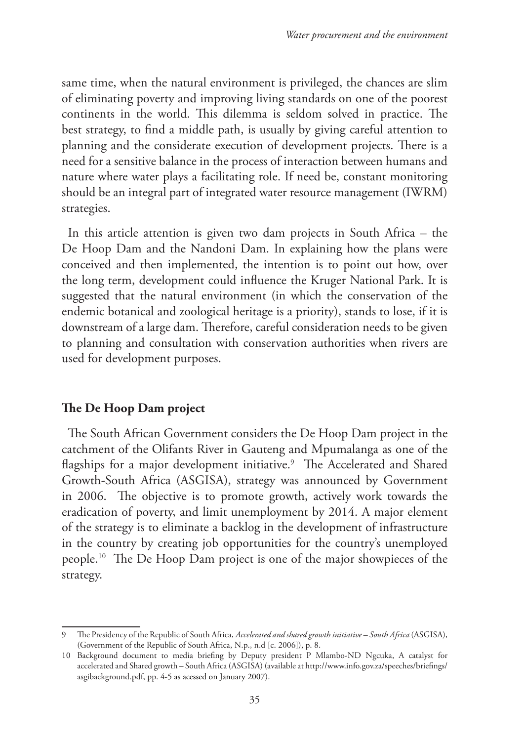same time, when the natural environment is privileged, the chances are slim of eliminating poverty and improving living standards on one of the poorest continents in the world. This dilemma is seldom solved in practice. The best strategy, to find a middle path, is usually by giving careful attention to planning and the considerate execution of development projects. There is a need for a sensitive balance in the process of interaction between humans and nature where water plays a facilitating role. If need be, constant monitoring should be an integral part of integrated water resource management (IWRM) strategies.

In this article attention is given two dam projects in South Africa – the De Hoop Dam and the Nandoni Dam. In explaining how the plans were conceived and then implemented, the intention is to point out how, over the long term, development could influence the Kruger National Park. It is suggested that the natural environment (in which the conservation of the endemic botanical and zoological heritage is a priority), stands to lose, if it is downstream of a large dam. Therefore, careful consideration needs to be given to planning and consultation with conservation authorities when rivers are used for development purposes.

#### **The De Hoop Dam project**

The South African Government considers the De Hoop Dam project in the catchment of the Olifants River in Gauteng and Mpumalanga as one of the flagships for a major development initiative.<sup>9</sup> The Accelerated and Shared Growth-South Africa (ASGISA), strategy was announced by Government in 2006. The objective is to promote growth, actively work towards the eradication of poverty, and limit unemployment by 2014. A major element of the strategy is to eliminate a backlog in the development of infrastructure in the country by creating job opportunities for the country's unemployed people.10 The De Hoop Dam project is one of the major showpieces of the strategy.

<sup>9</sup> The Presidency of the Republic of South Africa, *Accelerated and shared growth initiative – South Africa* (ASGISA), (Government of the Republic of South Africa, N.p., n.d [c. 2006]), p. 8.

<sup>10</sup> Background document to media briefing by Deputy president P Mlambo-ND Ngcuka, A catalyst for accelerated and Shared growth – South Africa (ASGISA) (available at http://www.info.gov.za/speeches/briefings/ asgibackground.pdf, pp. 4-5 as acessed on January 2007).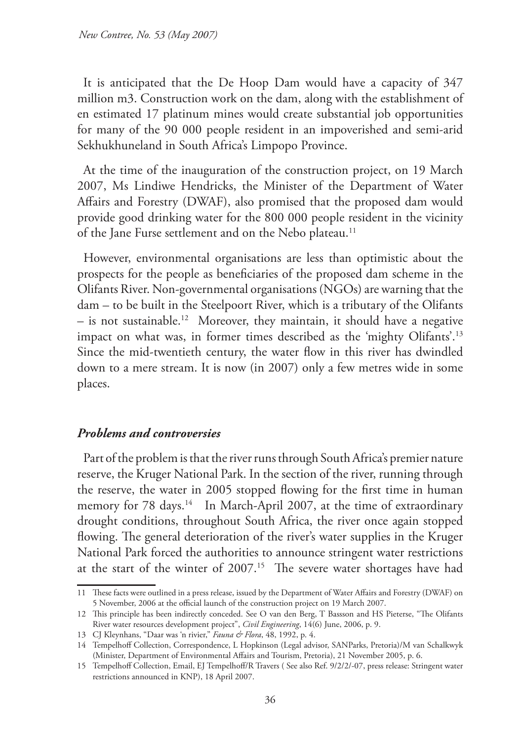It is anticipated that the De Hoop Dam would have a capacity of 347 million m3. Construction work on the dam, along with the establishment of en estimated 17 platinum mines would create substantial job opportunities for many of the 90 000 people resident in an impoverished and semi-arid Sekhukhuneland in South Africa's Limpopo Province.

At the time of the inauguration of the construction project, on 19 March 2007, Ms Lindiwe Hendricks, the Minister of the Department of Water Affairs and Forestry (DWAF), also promised that the proposed dam would provide good drinking water for the 800 000 people resident in the vicinity of the Jane Furse settlement and on the Nebo plateau.<sup>11</sup>

However, environmental organisations are less than optimistic about the prospects for the people as beneficiaries of the proposed dam scheme in the Olifants River. Non-governmental organisations (NGOs) are warning that the dam – to be built in the Steelpoort River, which is a tributary of the Olifants  $-$  is not sustainable.<sup>12</sup> Moreover, they maintain, it should have a negative impact on what was, in former times described as the 'mighty Olifants'.13 Since the mid-twentieth century, the water flow in this river has dwindled down to a mere stream. It is now (in 2007) only a few metres wide in some places.

#### *Problems and controversies*

Part of the problem is that the river runs through South Africa's premier nature reserve, the Kruger National Park. In the section of the river, running through the reserve, the water in 2005 stopped flowing for the first time in human memory for 78 days.<sup>14</sup> In March-April 2007, at the time of extraordinary drought conditions, throughout South Africa, the river once again stopped flowing. The general deterioration of the river's water supplies in the Kruger National Park forced the authorities to announce stringent water restrictions at the start of the winter of 2007.15 The severe water shortages have had

<sup>11</sup> These facts were outlined in a press release, issued by the Department of Water Affairs and Forestry (DWAF) on 5 November, 2006 at the official launch of the construction project on 19 March 2007.

<sup>12</sup> This principle has been indirectly conceded. See O van den Berg, T Bassson and HS Pieterse, "The Olifants River water resources development project", *Civil Engineering*, 14(6) June, 2006, p. 9.

<sup>13</sup> CJ Kleynhans, "Daar was 'n rivier," *Fauna & Flora*, 48, 1992, p. 4.

<sup>14</sup> Tempelhoff Collection, Correspondence, L Hopkinson (Legal advisor, SANParks, Pretoria)/M van Schalkwyk (Minister, Department of Environmental Affairs and Tourism, Pretoria), 21 November 2005, p. 6.

<sup>15</sup> Tempelhoff Collection, Email, EJ Tempelhoff/R Travers ( See also Ref. 9/2/2/-07, press release: Stringent water restrictions announced in KNP), 18 April 2007.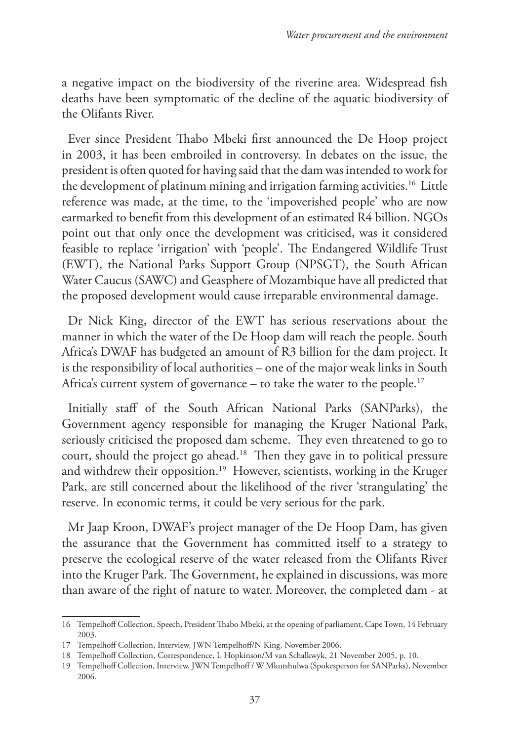a negative impact on the biodiversity of the riverine area. Widespread fish deaths have been symptomatic of the decline of the aquatic biodiversity of the Olifants River.

Ever since President Thabo Mbeki first announced the De Hoop project in 2003, it has been embroiled in controversy. In debates on the issue, the president is often quoted for having said that the dam was intended to work for the development of platinum mining and irrigation farming activities.<sup>16</sup> Little reference was made, at the time, to the 'impoverished people' who are now earmarked to benefit from this development of an estimated R4 billion. NGOs point out that only once the development was criticised, was it considered feasible to replace 'irrigation' with 'people'. The Endangered Wildlife Trust (EWT), the National Parks Support Group (NPSGT), the South African Water Caucus (SAWC) and Geasphere of Mozambique have all predicted that the proposed development would cause irreparable environmental damage.

Dr Nick King, director of the EWT has serious reservations about the manner in which the water of the De Hoop dam will reach the people. South Africa's DWAF has budgeted an amount of R3 billion for the dam project. It is the responsibility of local authorities – one of the major weak links in South Africa's current system of governance – to take the water to the people.<sup>17</sup>

Initially staff of the South African National Parks (SANParks), the Government agency responsible for managing the Kruger National Park, seriously criticised the proposed dam scheme. They even threatened to go to court, should the project go ahead.18 Then they gave in to political pressure and withdrew their opposition.<sup>19</sup> However, scientists, working in the Kruger Park, are still concerned about the likelihood of the river 'strangulating' the reserve. In economic terms, it could be very serious for the park.

Mr Jaap Kroon, DWAF's project manager of the De Hoop Dam, has given the assurance that the Government has committed itself to a strategy to preserve the ecological reserve of the water released from the Olifants River into the Kruger Park. The Government, he explained in discussions, was more than aware of the right of nature to water. Moreover, the completed dam - at

<sup>16</sup> Tempelhoff Collection, Speech, President Thabo Mbeki, at the opening of parliament, Cape Town, 14 February 2003.

<sup>17</sup> Tempelhoff Collection, Interview, JWN Tempelhoff/N King, November 2006.

<sup>18</sup> Tempelhoff Collection, Correspondence, L Hopkinson/M van Schalkwyk, 21 November 2005, p. 10.

<sup>19</sup> Tempelhoff Collection, Interview, JWN Tempelhoff / W Mkutshulwa (Spokesperson for SANParks), November 2006.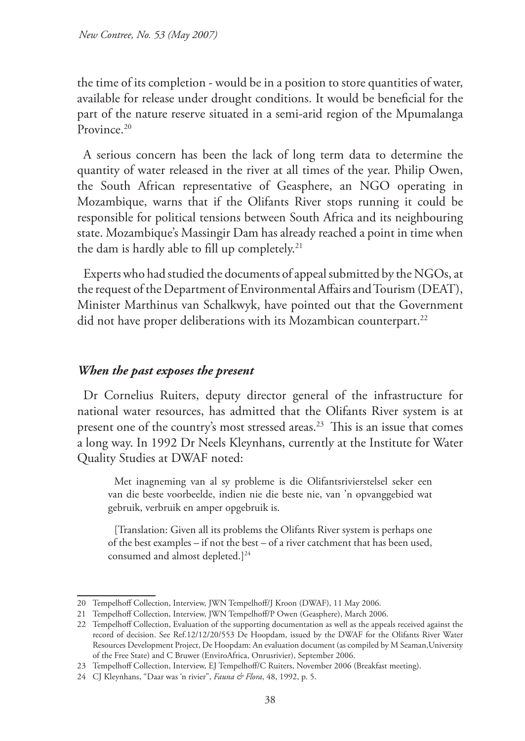the time of its completion - would be in a position to store quantities of water, available for release under drought conditions. It would be beneficial for the part of the nature reserve situated in a semi-arid region of the Mpumalanga Province.<sup>20</sup>

A serious concern has been the lack of long term data to determine the quantity of water released in the river at all times of the year. Philip Owen, the South African representative of Geasphere, an NGO operating in Mozambique, warns that if the Olifants River stops running it could be responsible for political tensions between South Africa and its neighbouring state. Mozambique's Massingir Dam has already reached a point in time when the dam is hardly able to fill up completely.<sup>21</sup>

Experts who had studied the documents of appeal submitted by the NGOs, at the request of the Department of Environmental Affairs and Tourism (DEAT), Minister Marthinus van Schalkwyk, have pointed out that the Government did not have proper deliberations with its Mozambican counterpart.<sup>22</sup>

### *When the past exposes the present*

Dr Cornelius Ruiters, deputy director general of the infrastructure for national water resources, has admitted that the Olifants River system is at present one of the country's most stressed areas.<sup>23</sup> This is an issue that comes a long way. In 1992 Dr Neels Kleynhans, currently at the Institute for Water Quality Studies at DWAF noted:

Met inagneming van al sy probleme is die Olifantsrivierstelsel seker een van die beste voorbeelde, indien nie die beste nie, van 'n opvanggebied wat gebruik, verbruik en amper opgebruik is.

[Translation: Given all its problems the Olifants River system is perhaps one of the best examples – if not the best – of a river catchment that has been used, consumed and almost depleted.]<sup>24</sup>

<sup>20</sup> Tempelhoff Collection, Interview, JWN Tempelhoff/J Kroon (DWAF), 11 May 2006.

<sup>21</sup> Tempelhoff Collection, Interview, JWN Tempelhoff/P Owen (Geasphere), March 2006.

<sup>22</sup> Tempelhoff Collection, Evaluation of the supporting documentation as well as the appeals received against the record of decision. See Ref.12/12/20/553 De Hoopdam, issued by the DWAF for the Olifants River Water Resources Development Project, De Hoopdam: An evaluation document (as compiled by M Seaman,University of the Free State) and C Bruwer (EnviroAfrica, Onrusrivier), September 2006.

<sup>23</sup> Tempelhoff Collection, Interview, EJ Tempelhoff/C Ruiters, November 2006 (Breakfast meeting).

<sup>24</sup> CJ Kleynhans, "Daar was 'n rivier", *Fauna & Flora*, 48, 1992, p. 5.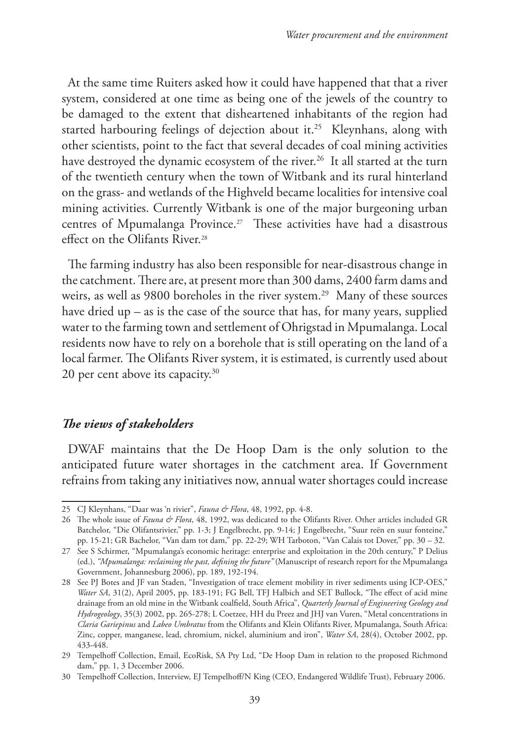At the same time Ruiters asked how it could have happened that that a river system, considered at one time as being one of the jewels of the country to be damaged to the extent that disheartened inhabitants of the region had started harbouring feelings of dejection about it.<sup>25</sup> Kleynhans, along with other scientists, point to the fact that several decades of coal mining activities have destroyed the dynamic ecosystem of the river.<sup>26</sup> It all started at the turn of the twentieth century when the town of Witbank and its rural hinterland on the grass- and wetlands of the Highveld became localities for intensive coal mining activities. Currently Witbank is one of the major burgeoning urban centres of Mpumalanga Province.27 These activities have had a disastrous effect on the Olifants River.28

The farming industry has also been responsible for near-disastrous change in the catchment. There are, at present more than 300 dams, 2400 farm dams and weirs, as well as 9800 boreholes in the river system.<sup>29</sup> Many of these sources have dried up  $-$  as is the case of the source that has, for many years, supplied water to the farming town and settlement of Ohrigstad in Mpumalanga. Local residents now have to rely on a borehole that is still operating on the land of a local farmer. The Olifants River system, it is estimated, is currently used about 20 per cent above its capacity.<sup>30</sup>

#### *The views of stakeholders*

DWAF maintains that the De Hoop Dam is the only solution to the anticipated future water shortages in the catchment area. If Government refrains from taking any initiatives now, annual water shortages could increase

<sup>25</sup> CJ Kleynhans, "Daar was 'n rivier", *Fauna & Flora*, 48, 1992, pp. 4-8.

<sup>26</sup> The whole issue of *Fauna & Flora*, 48, 1992, was dedicated to the Olifants River. Other articles included GR Batchelor, "Die Olifantsrivier," pp. 1-3; J Engelbrecht, pp. 9-14; J Engelbrecht, "Suur reën en suur fonteine," pp. 15-21; GR Bachelor, "Van dam tot dam," pp. 22-29; WH Tarboton, "Van Calais tot Dover," pp. 30 – 32.

<sup>27</sup> See S Schirmer, "Mpumalanga's economic heritage: enterprise and exploitation in the 20th century," P Delius (ed.), *"Mpumalanga: reclaiming the past, defining the future"* (Manuscript of research report for the Mpumalanga Government, Johannesburg 2006), pp. 189, 192-194.

<sup>28</sup> See PJ Botes and JF van Staden, "Investigation of trace element mobility in river sediments using ICP-OES," *Water SA*, 31(2), April 2005, pp. 183-191; FG Bell, TFJ Halbich and SET Bullock, "The effect of acid mine drainage from an old mine in the Witbank coalfield, South Africa", *Quarterly Journal of Engineering Geology and Hydrogeology*, 35(3) 2002, pp. 265-278; L Coetzee, HH du Preez and JHJ van Vuren, "Metal concentrations in *Claria Gariepinus* and *Labeo Umbratus* from the Olifants and Klein Olifants River, Mpumalanga, South Africa: Zinc, copper, manganese, lead, chromium, nickel, aluminium and iron", *Water SA*, 28(4), October 2002, pp. 433-448.

<sup>29</sup> Tempelhoff Collection, Email, EcoRisk, SA Pty Ltd, "De Hoop Dam in relation to the proposed Richmond dam," pp. 1, 3 December 2006.

<sup>30</sup> Tempelhoff Collection, Interview, EJ Tempelhoff/N King (CEO, Endangered Wildlife Trust), February 2006.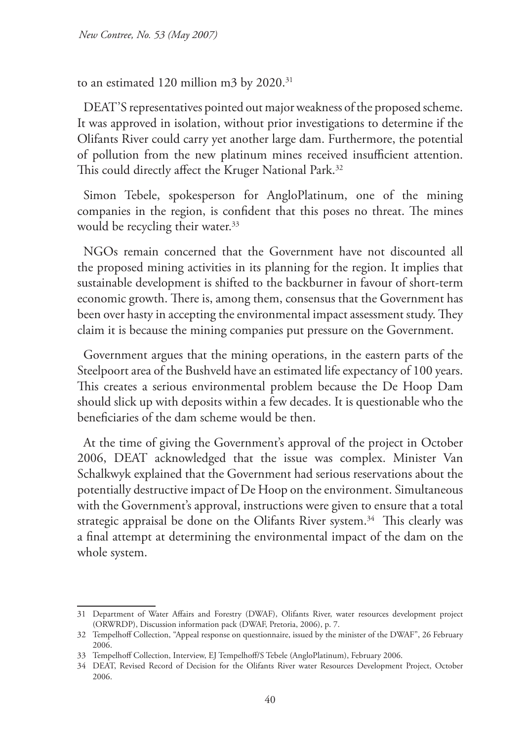to an estimated 120 million m3 by 2020.<sup>31</sup>

DEAT'S representatives pointed out major weakness of the proposed scheme. It was approved in isolation, without prior investigations to determine if the Olifants River could carry yet another large dam. Furthermore, the potential of pollution from the new platinum mines received insufficient attention. This could directly affect the Kruger National Park.<sup>32</sup>

Simon Tebele, spokesperson for AngloPlatinum, one of the mining companies in the region, is confident that this poses no threat. The mines would be recycling their water.<sup>33</sup>

NGOs remain concerned that the Government have not discounted all the proposed mining activities in its planning for the region. It implies that sustainable development is shifted to the backburner in favour of short-term economic growth. There is, among them, consensus that the Government has been over hasty in accepting the environmental impact assessment study. They claim it is because the mining companies put pressure on the Government.

Government argues that the mining operations, in the eastern parts of the Steelpoort area of the Bushveld have an estimated life expectancy of 100 years. This creates a serious environmental problem because the De Hoop Dam should slick up with deposits within a few decades. It is questionable who the beneficiaries of the dam scheme would be then.

At the time of giving the Government's approval of the project in October 2006, DEAT acknowledged that the issue was complex. Minister Van Schalkwyk explained that the Government had serious reservations about the potentially destructive impact of De Hoop on the environment. Simultaneous with the Government's approval, instructions were given to ensure that a total strategic appraisal be done on the Olifants River system.<sup>34</sup> This clearly was a final attempt at determining the environmental impact of the dam on the whole system.

<sup>31</sup> Department of Water Affairs and Forestry (DWAF), Olifants River, water resources development project (ORWRDP), Discussion information pack (DWAF, Pretoria, 2006), p. 7.

<sup>32</sup> Tempelhoff Collection, "Appeal response on questionnaire, issued by the minister of the DWAF", 26 February 2006.

<sup>33</sup> Tempelhoff Collection, Interview, EJ Tempelhoff/S Tebele (AngloPlatinum), February 2006.

<sup>34</sup> DEAT, Revised Record of Decision for the Olifants River water Resources Development Project, October 2006.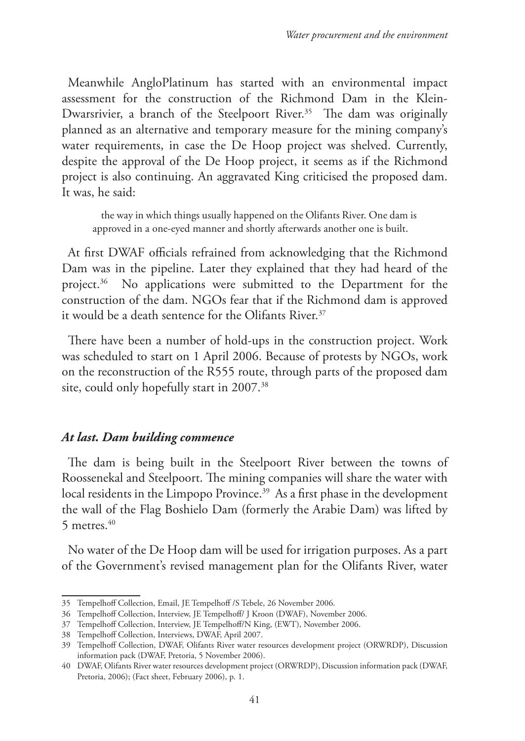Meanwhile AngloPlatinum has started with an environmental impact assessment for the construction of the Richmond Dam in the Klein-Dwarsrivier, a branch of the Steelpoort River.<sup>35</sup> The dam was originally planned as an alternative and temporary measure for the mining company's water requirements, in case the De Hoop project was shelved. Currently, despite the approval of the De Hoop project, it seems as if the Richmond project is also continuing. An aggravated King criticised the proposed dam. It was, he said:

 the way in which things usually happened on the Olifants River. One dam is approved in a one-eyed manner and shortly afterwards another one is built.

At first DWAF officials refrained from acknowledging that the Richmond Dam was in the pipeline. Later they explained that they had heard of the project.<sup>36</sup> No applications were submitted to the Department for the construction of the dam. NGOs fear that if the Richmond dam is approved it would be a death sentence for the Olifants River.37

There have been a number of hold-ups in the construction project. Work was scheduled to start on 1 April 2006. Because of protests by NGOs, work on the reconstruction of the R555 route, through parts of the proposed dam site, could only hopefully start in 2007.<sup>38</sup>

#### *At last. Dam building commence*

The dam is being built in the Steelpoort River between the towns of Roossenekal and Steelpoort. The mining companies will share the water with local residents in the Limpopo Province.<sup>39</sup> As a first phase in the development the wall of the Flag Boshielo Dam (formerly the Arabie Dam) was lifted by 5 metres. $40$ 

No water of the De Hoop dam will be used for irrigation purposes. As a part of the Government's revised management plan for the Olifants River, water

<sup>35</sup> Tempelhoff Collection, Email, JE Tempelhoff /S Tebele, 26 November 2006.

<sup>36</sup> Tempelhoff Collection, Interview, JE Tempelhoff/ J Kroon (DWAF), November 2006.

<sup>37</sup> Tempelhoff Collection, Interview, JE Tempelhoff/N King, (EWT), November 2006.

<sup>38</sup> Tempelhoff Collection, Interviews, DWAF, April 2007.

<sup>39</sup> Tempelhoff Collection, DWAF, Olifants River water resources development project (ORWRDP), Discussion information pack (DWAF, Pretoria, 5 November 2006).

<sup>40</sup> DWAF, Olifants River water resources development project (ORWRDP), Discussion information pack (DWAF, Pretoria, 2006); (Fact sheet, February 2006), p. 1.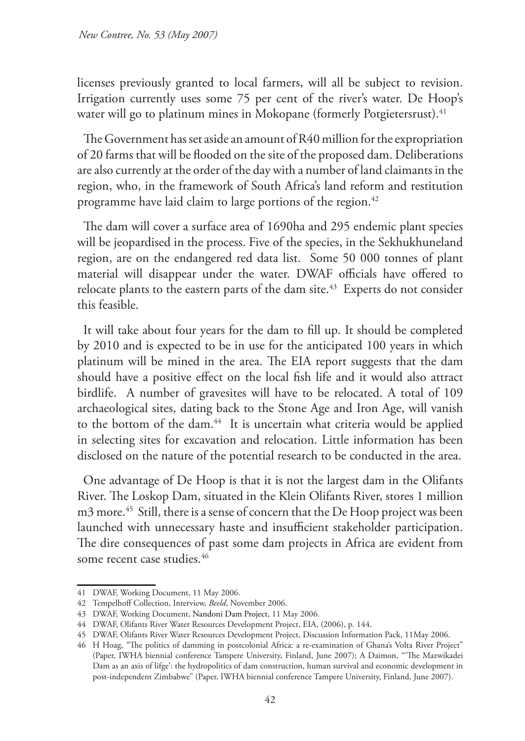licenses previously granted to local farmers, will all be subject to revision. Irrigation currently uses some 75 per cent of the river's water. De Hoop's water will go to platinum mines in Mokopane (formerly Potgietersrust).<sup>41</sup>

The Government has set aside an amount of R40 million for the expropriation of 20 farms that will be flooded on the site of the proposed dam. Deliberations are also currently at the order of the day with a number of land claimants in the region, who, in the framework of South Africa's land reform and restitution programme have laid claim to large portions of the region.<sup>42</sup>

The dam will cover a surface area of 1690ha and 295 endemic plant species will be jeopardised in the process. Five of the species, in the Sekhukhuneland region, are on the endangered red data list. Some 50 000 tonnes of plant material will disappear under the water. DWAF officials have offered to relocate plants to the eastern parts of the dam site.<sup>43</sup> Experts do not consider this feasible.

It will take about four years for the dam to fill up. It should be completed by 2010 and is expected to be in use for the anticipated 100 years in which platinum will be mined in the area. The EIA report suggests that the dam should have a positive effect on the local fish life and it would also attract birdlife. A number of gravesites will have to be relocated. A total of 109 archaeological sites, dating back to the Stone Age and Iron Age, will vanish to the bottom of the dam.<sup>44</sup> It is uncertain what criteria would be applied in selecting sites for excavation and relocation. Little information has been disclosed on the nature of the potential research to be conducted in the area.

One advantage of De Hoop is that it is not the largest dam in the Olifants River. The Loskop Dam, situated in the Klein Olifants River, stores 1 million m3 more.<sup>45</sup> Still, there is a sense of concern that the De Hoop project was been launched with unnecessary haste and insufficient stakeholder participation. The dire consequences of past some dam projects in Africa are evident from some recent case studies.<sup>46</sup>

<sup>41</sup> DWAF, Working Document, 11 May 2006.

<sup>42</sup> Tempelhoff Collection, Interview, *Beeld*, November 2006.

<sup>43</sup> DWAF, Working Document, Nandoni Dam Project, 11 May 2006.

<sup>44</sup> DWAF, Olifants River Water Resources Development Project, EIA, (2006), p. 144.

<sup>45</sup> DWAF, Olifants River Water Resources Development Project, Discussion Information Pack, 11May 2006.

<sup>46</sup> H Hoag, "The politics of damming in postcolonial Africa: a re-examination of Ghana's Volta River Project" (Paper, IWHA biennial conference Tampere University, Finland, June 2007); A Daimon, "'The Mazwikadei Dam as an axis of lifge': the hydropolitics of dam construction, human survival and economic development in post-independent Zimbabwe" (Paper, IWHA biennial conference Tampere University, Finland, June 2007).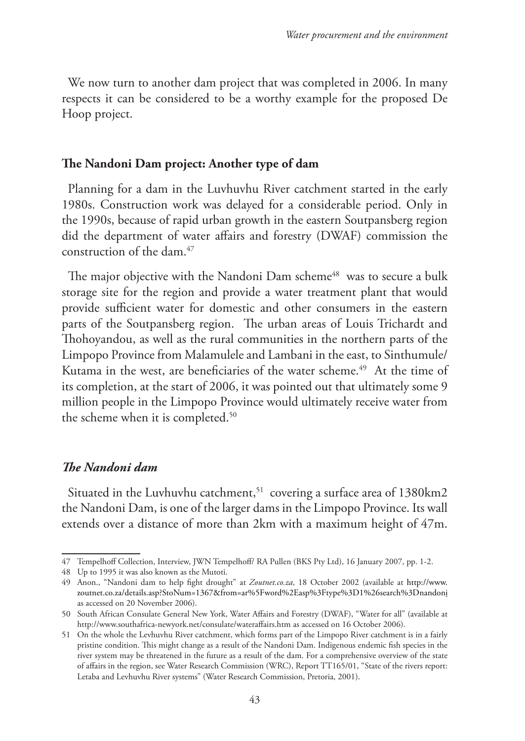We now turn to another dam project that was completed in 2006. In many respects it can be considered to be a worthy example for the proposed De Hoop project.

#### **The Nandoni Dam project: Another type of dam**

Planning for a dam in the Luvhuvhu River catchment started in the early 1980s. Construction work was delayed for a considerable period. Only in the 1990s, because of rapid urban growth in the eastern Soutpansberg region did the department of water affairs and forestry (DWAF) commission the construction of the dam.47

The major objective with the Nandoni Dam scheme<sup>48</sup> was to secure a bulk storage site for the region and provide a water treatment plant that would provide sufficient water for domestic and other consumers in the eastern parts of the Soutpansberg region. The urban areas of Louis Trichardt and Thohoyandou, as well as the rural communities in the northern parts of the Limpopo Province from Malamulele and Lambani in the east, to Sinthumule/ Kutama in the west, are beneficiaries of the water scheme.<sup>49</sup> At the time of its completion, at the start of 2006, it was pointed out that ultimately some 9 million people in the Limpopo Province would ultimately receive water from the scheme when it is completed.<sup>50</sup>

### *The Nandoni dam*

Situated in the Luvhuvhu catchment,<sup>51</sup> covering a surface area of 1380km2 the Nandoni Dam, is one of the larger dams in the Limpopo Province. Its wall extends over a distance of more than 2km with a maximum height of 47m.

<sup>47</sup> Tempelhoff Collection, Interview, JWN Tempelhoff/ RA Pullen (BKS Pty Ltd), 16 January 2007, pp. 1-2.

<sup>48</sup> Up to 1995 it was also known as the Mutoti.

<sup>49</sup> Anon., "Nandoni dam to help fight drought" at *Zoutnet.co.za*, 18 October 2002 (available at http://www. zoutnet.co.za/details.asp?StoNum=1367&from=ar%5Fword%2Easp%3Ftype%3D1%26search%3Dnandoni as accessed on 20 November 2006).

<sup>50</sup> South African Consulate General New York, Water Affairs and Forestry (DWAF), "Water for all" (available at http://www.southafrica-newyork.net/consulate/wateraffairs.htm as accessed on 16 October 2006).

<sup>51</sup> On the whole the Levhuvhu River catchment, which forms part of the Limpopo River catchment is in a fairly pristine condition. This might change as a result of the Nandoni Dam. Indigenous endemic fish species in the river system may be threatened in the future as a result of the dam. For a comprehensive overview of the state of affairs in the region, see Water Research Commission (WRC), Report TT165/01, "State of the rivers report: Letaba and Levhuvhu River systems" (Water Research Commission, Pretoria, 2001).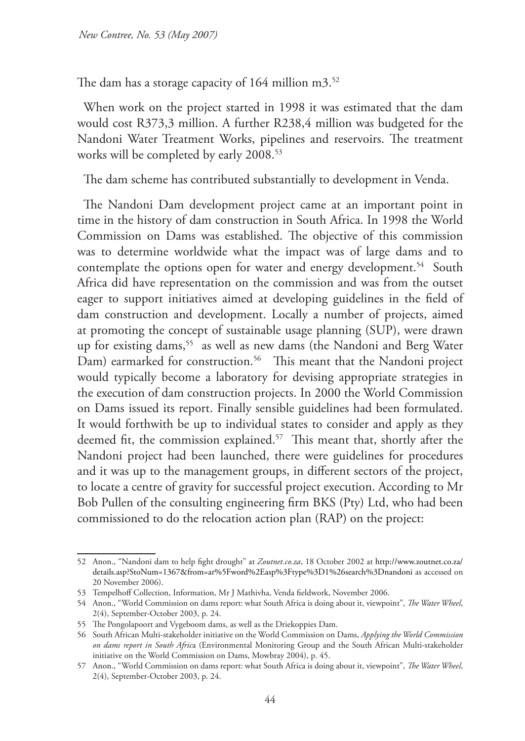The dam has a storage capacity of 164 million m3.<sup>52</sup>

When work on the project started in 1998 it was estimated that the dam would cost R373,3 million. A further R238,4 million was budgeted for the Nandoni Water Treatment Works, pipelines and reservoirs. The treatment works will be completed by early 2008.<sup>53</sup>

The dam scheme has contributed substantially to development in Venda.

The Nandoni Dam development project came at an important point in time in the history of dam construction in South Africa. In 1998 the World Commission on Dams was established. The objective of this commission was to determine worldwide what the impact was of large dams and to contemplate the options open for water and energy development.<sup>54</sup> South Africa did have representation on the commission and was from the outset eager to support initiatives aimed at developing guidelines in the field of dam construction and development. Locally a number of projects, aimed at promoting the concept of sustainable usage planning (SUP), were drawn up for existing dams,<sup>55</sup> as well as new dams (the Nandoni and Berg Water Dam) earmarked for construction.<sup>56</sup> This meant that the Nandoni project would typically become a laboratory for devising appropriate strategies in the execution of dam construction projects. In 2000 the World Commission on Dams issued its report. Finally sensible guidelines had been formulated. It would forthwith be up to individual states to consider and apply as they deemed fit, the commission explained.<sup>57</sup> This meant that, shortly after the Nandoni project had been launched, there were guidelines for procedures and it was up to the management groups, in different sectors of the project, to locate a centre of gravity for successful project execution. According to Mr Bob Pullen of the consulting engineering firm BKS (Pty) Ltd, who had been commissioned to do the relocation action plan (RAP) on the project:

<sup>52</sup> Anon., "Nandoni dam to help fight drought" at *Zoutnet.co.za*, 18 October 2002 at http://www.zoutnet.co.za/ details.asp?StoNum=1367&from=ar%5Fword%2Easp%3Ftype%3D1%26search%3Dnandoni as accessed on 20 November 2006).

<sup>53</sup> Tempelhoff Collection, Information, Mr J Mathivha, Venda fieldwork, November 2006.

<sup>54</sup> Anon., "World Commission on dams report: what South Africa is doing about it, viewpoint", *The Water Wheel*, 2(4), September-October 2003, p. 24.

<sup>55</sup> The Pongolapoort and Vygeboom dams, as well as the Driekoppies Dam.

<sup>56</sup> South African Multi-stakeholder initiative on the World Commission on Dams, *Applying the World Commission on dams report in South Afric*a (Environmental Monitoring Group and the South African Multi-stakeholder initiative on the World Commission on Dams, Mowbray 2004), p. 45.

<sup>57</sup> Anon., "World Commission on dams report: what South Africa is doing about it, viewpoint", *The Water Wheel*, 2(4), September-October 2003, p. 24.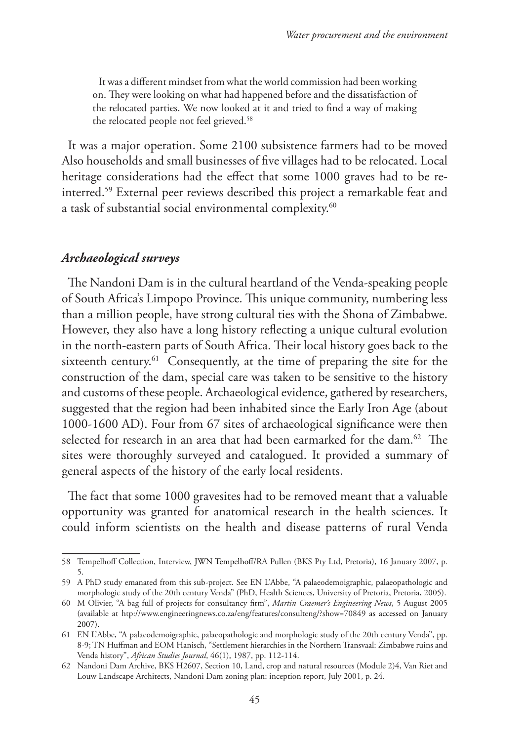It was a different mindset from what the world commission had been working on. They were looking on what had happened before and the dissatisfaction of the relocated parties. We now looked at it and tried to find a way of making the relocated people not feel grieved.<sup>58</sup>

It was a major operation. Some 2100 subsistence farmers had to be moved Also households and small businesses of five villages had to be relocated. Local heritage considerations had the effect that some 1000 graves had to be reinterred.59 External peer reviews described this project a remarkable feat and a task of substantial social environmental complexity.60

#### *Archaeological surveys*

The Nandoni Dam is in the cultural heartland of the Venda-speaking people of South Africa's Limpopo Province. This unique community, numbering less than a million people, have strong cultural ties with the Shona of Zimbabwe. However, they also have a long history reflecting a unique cultural evolution in the north-eastern parts of South Africa. Their local history goes back to the sixteenth century.<sup>61</sup> Consequently, at the time of preparing the site for the construction of the dam, special care was taken to be sensitive to the history and customs of these people. Archaeological evidence, gathered by researchers, suggested that the region had been inhabited since the Early Iron Age (about 1000-1600 AD). Four from 67 sites of archaeological significance were then selected for research in an area that had been earmarked for the dam.<sup>62</sup> The sites were thoroughly surveyed and catalogued. It provided a summary of general aspects of the history of the early local residents.

The fact that some 1000 gravesites had to be removed meant that a valuable opportunity was granted for anatomical research in the health sciences. It could inform scientists on the health and disease patterns of rural Venda

<sup>58</sup> Tempelhoff Collection, Interview, JWN Tempelhoff/RA Pullen (BKS Pty Ltd, Pretoria), 16 January 2007, p. 5.

<sup>59</sup> A PhD study emanated from this sub-project. See EN L'Abbe, "A palaeodemoigraphic, palaeopathologic and morphologic study of the 20th century Venda" (PhD, Health Sciences, University of Pretoria, Pretoria, 2005).

<sup>60</sup> M Olivier, "A bag full of projects for consultancy firm", *Martin Craemer's Engineering News*, 5 August 2005 (available at htp://www.engineeringnews.co.za/eng/features/consulteng/?show=70849 as accessed on January 2007).

<sup>61</sup> EN L'Abbe, "A palaeodemoigraphic, palaeopathologic and morphologic study of the 20th century Venda", pp. 8-9; TN Huffman and EOM Hanisch, "Settlement hierarchies in the Northern Transvaal: Zimbabwe ruins and Venda history", *African Studies Journal*, 46(1), 1987, pp. 112-114.

<sup>62</sup> Nandoni Dam Archive, BKS H2607, Section 10, Land, crop and natural resources (Module 2)4, Van Riet and Louw Landscape Architects, Nandoni Dam zoning plan: inception report, July 2001, p. 24.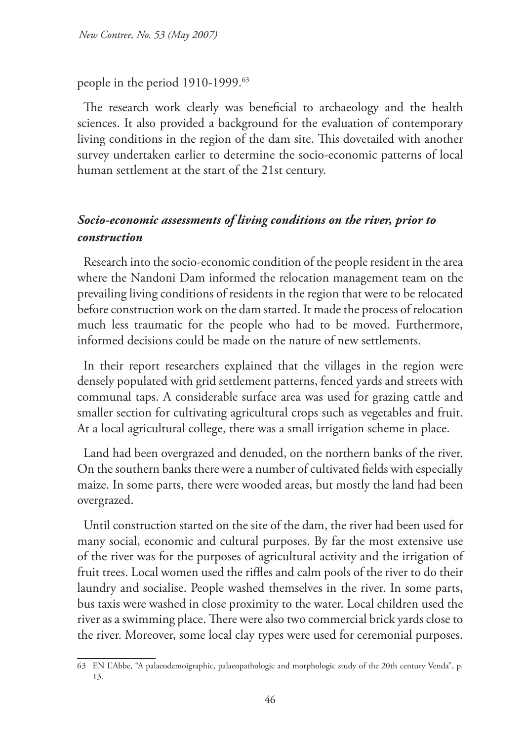*New Contree, No. 53 (May 2007)*

people in the period 1910-1999.63

The research work clearly was beneficial to archaeology and the health sciences. It also provided a background for the evaluation of contemporary living conditions in the region of the dam site. This dovetailed with another survey undertaken earlier to determine the socio-economic patterns of local human settlement at the start of the 21st century.

## *Socio-economic assessments of living conditions on the river, prior to construction*

Research into the socio-economic condition of the people resident in the area where the Nandoni Dam informed the relocation management team on the prevailing living conditions of residents in the region that were to be relocated before construction work on the dam started. It made the process of relocation much less traumatic for the people who had to be moved. Furthermore, informed decisions could be made on the nature of new settlements.

In their report researchers explained that the villages in the region were densely populated with grid settlement patterns, fenced yards and streets with communal taps. A considerable surface area was used for grazing cattle and smaller section for cultivating agricultural crops such as vegetables and fruit. At a local agricultural college, there was a small irrigation scheme in place.

Land had been overgrazed and denuded, on the northern banks of the river. On the southern banks there were a number of cultivated fields with especially maize. In some parts, there were wooded areas, but mostly the land had been overgrazed.

Until construction started on the site of the dam, the river had been used for many social, economic and cultural purposes. By far the most extensive use of the river was for the purposes of agricultural activity and the irrigation of fruit trees. Local women used the riffles and calm pools of the river to do their laundry and socialise. People washed themselves in the river. In some parts, bus taxis were washed in close proximity to the water. Local children used the river as a swimming place. There were also two commercial brick yards close to the river. Moreover, some local clay types were used for ceremonial purposes.

<sup>63</sup> EN L'Abbe, "A palaeodemoigraphic, palaeopathologic and morphologic study of the 20th century Venda", p. 13.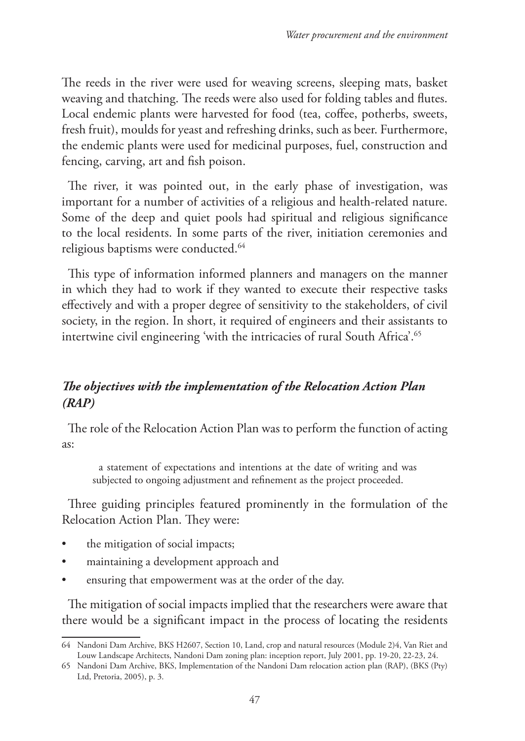The reeds in the river were used for weaving screens, sleeping mats, basket weaving and thatching. The reeds were also used for folding tables and flutes. Local endemic plants were harvested for food (tea, coffee, potherbs, sweets, fresh fruit), moulds for yeast and refreshing drinks, such as beer. Furthermore, the endemic plants were used for medicinal purposes, fuel, construction and fencing, carving, art and fish poison.

The river, it was pointed out, in the early phase of investigation, was important for a number of activities of a religious and health-related nature. Some of the deep and quiet pools had spiritual and religious significance to the local residents. In some parts of the river, initiation ceremonies and religious baptisms were conducted.64

This type of information informed planners and managers on the manner in which they had to work if they wanted to execute their respective tasks effectively and with a proper degree of sensitivity to the stakeholders, of civil society, in the region. In short, it required of engineers and their assistants to intertwine civil engineering 'with the intricacies of rural South Africa'.65

## *The objectives with the implementation of the Relocation Action Plan (RAP)*

The role of the Relocation Action Plan was to perform the function of acting as:

a statement of expectations and intentions at the date of writing and was subjected to ongoing adjustment and refinement as the project proceeded.

Three guiding principles featured prominently in the formulation of the Relocation Action Plan. They were:

- the mitigation of social impacts;
- maintaining a development approach and
- ensuring that empowerment was at the order of the day.

The mitigation of social impacts implied that the researchers were aware that there would be a significant impact in the process of locating the residents

<sup>64</sup> Nandoni Dam Archive, BKS H2607, Section 10, Land, crop and natural resources (Module 2)4, Van Riet and Louw Landscape Architects, Nandoni Dam zoning plan: inception report, July 2001, pp. 19-20, 22-23, 24.

<sup>65</sup> Nandoni Dam Archive, BKS, Implementation of the Nandoni Dam relocation action plan (RAP), (BKS (Pty) Ltd, Pretoria, 2005), p. 3.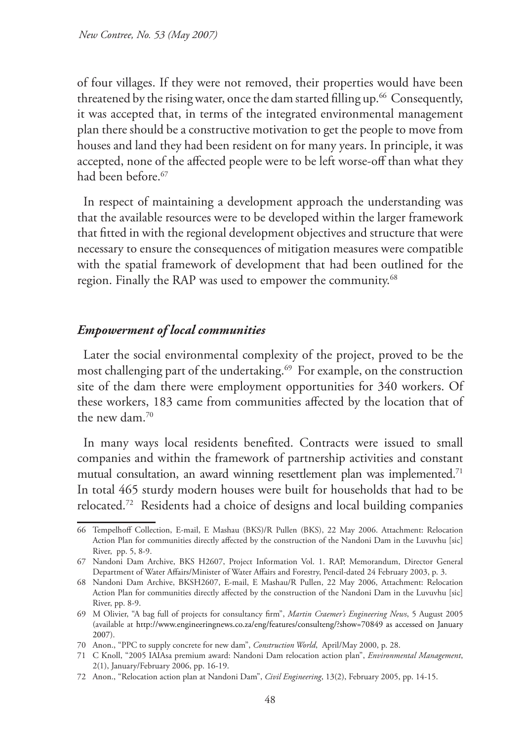of four villages. If they were not removed, their properties would have been threatened by the rising water, once the dam started filling up.<sup>66</sup> Consequently, it was accepted that, in terms of the integrated environmental management plan there should be a constructive motivation to get the people to move from houses and land they had been resident on for many years. In principle, it was accepted, none of the affected people were to be left worse-off than what they had been before.<sup>67</sup>

In respect of maintaining a development approach the understanding was that the available resources were to be developed within the larger framework that fitted in with the regional development objectives and structure that were necessary to ensure the consequences of mitigation measures were compatible with the spatial framework of development that had been outlined for the region. Finally the RAP was used to empower the community.<sup>68</sup>

#### *Empowerment of local communities*

Later the social environmental complexity of the project, proved to be the most challenging part of the undertaking.<sup>69</sup> For example, on the construction site of the dam there were employment opportunities for 340 workers. Of these workers, 183 came from communities affected by the location that of the new dam.70

In many ways local residents benefited. Contracts were issued to small companies and within the framework of partnership activities and constant mutual consultation, an award winning resettlement plan was implemented.<sup>71</sup> In total 465 sturdy modern houses were built for households that had to be relocated.72 Residents had a choice of designs and local building companies

<sup>66</sup> Tempelhoff Collection, E-mail, E Mashau (BKS)/R Pullen (BKS), 22 May 2006. Attachment: Relocation Action Plan for communities directly affected by the construction of the Nandoni Dam in the Luvuvhu [sic] River, pp. 5, 8-9.

<sup>67</sup> Nandoni Dam Archive, BKS H2607, Project Information Vol. 1. RAP, Memorandum, Director General Department of Water Affairs/Minister of Water Affairs and Forestry, Pencil-dated 24 February 2003, p. 3.

<sup>68</sup> Nandoni Dam Archive, BKSH2607, E-mail, E Mashau/R Pullen, 22 May 2006, Attachment: Relocation Action Plan for communities directly affected by the construction of the Nandoni Dam in the Luvuvhu [sic] River, pp. 8-9.

<sup>69</sup> M Olivier, "A bag full of projects for consultancy firm", *Martin Craemer's Engineering News*, 5 August 2005 (available at http://www.engineeringnews.co.za/eng/features/consulteng/?show=70849 as accessed on January 2007).

<sup>70</sup> Anon., "PPC to supply concrete for new dam", *Construction World*, April/May 2000, p. 28.

<sup>71</sup> C Knoll, "2005 IAIAsa premium award: Nandoni Dam relocation action plan", *Environmental Management*, 2(1), January/February 2006, pp. 16-19.

<sup>72</sup> Anon., "Relocation action plan at Nandoni Dam", *Civil Engineering*, 13(2), February 2005, pp. 14-15.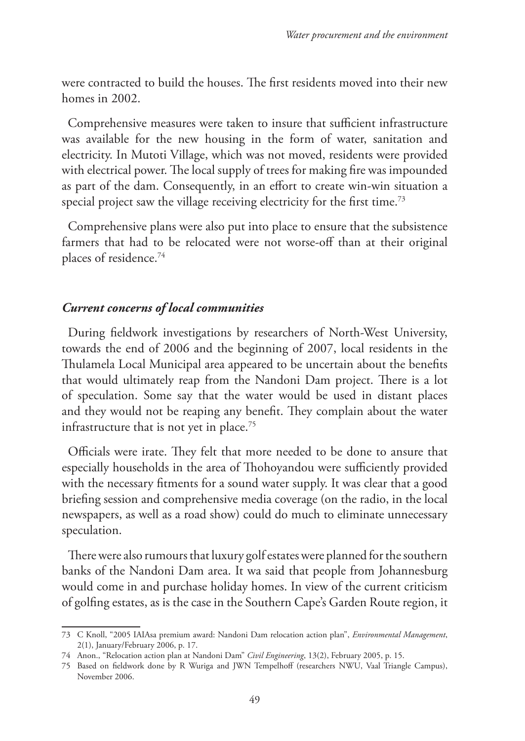were contracted to build the houses. The first residents moved into their new homes in 2002.

Comprehensive measures were taken to insure that sufficient infrastructure was available for the new housing in the form of water, sanitation and electricity. In Mutoti Village, which was not moved, residents were provided with electrical power. The local supply of trees for making fire was impounded as part of the dam. Consequently, in an effort to create win-win situation a special project saw the village receiving electricity for the first time.<sup>73</sup>

Comprehensive plans were also put into place to ensure that the subsistence farmers that had to be relocated were not worse-off than at their original places of residence.74

#### *Current concerns of local communities*

During fieldwork investigations by researchers of North-West University, towards the end of 2006 and the beginning of 2007, local residents in the Thulamela Local Municipal area appeared to be uncertain about the benefits that would ultimately reap from the Nandoni Dam project. There is a lot of speculation. Some say that the water would be used in distant places and they would not be reaping any benefit. They complain about the water infrastructure that is not yet in place.<sup>75</sup>

Officials were irate. They felt that more needed to be done to ansure that especially households in the area of Thohoyandou were sufficiently provided with the necessary fitments for a sound water supply. It was clear that a good briefing session and comprehensive media coverage (on the radio, in the local newspapers, as well as a road show) could do much to eliminate unnecessary speculation.

There were also rumours that luxury golf estates were planned for the southern banks of the Nandoni Dam area. It wa said that people from Johannesburg would come in and purchase holiday homes. In view of the current criticism of golfing estates, as is the case in the Southern Cape's Garden Route region, it

<sup>73</sup> C Knoll, "2005 IAIAsa premium award: Nandoni Dam relocation action plan", *Environmental Management*, 2(1), January/February 2006, p. 17.

<sup>74</sup> Anon., "Relocation action plan at Nandoni Dam" *Civil Engineering*, 13(2), February 2005, p. 15.

<sup>75</sup> Based on fieldwork done by R Wuriga and JWN Tempelhoff (researchers NWU, Vaal Triangle Campus), November 2006.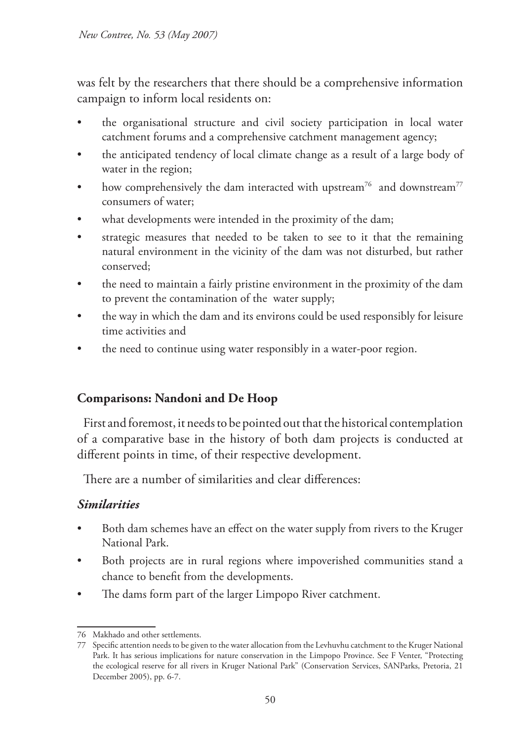was felt by the researchers that there should be a comprehensive information campaign to inform local residents on:

- the organisational structure and civil society participation in local water catchment forums and a comprehensive catchment management agency;
- the anticipated tendency of local climate change as a result of a large body of water in the region;
- how comprehensively the dam interacted with upstream<sup>76</sup> and downstream<sup>77</sup> consumers of water;
- what developments were intended in the proximity of the dam;
- strategic measures that needed to be taken to see to it that the remaining natural environment in the vicinity of the dam was not disturbed, but rather conserved;
- the need to maintain a fairly pristine environment in the proximity of the dam to prevent the contamination of the water supply;
- the way in which the dam and its environs could be used responsibly for leisure time activities and
- the need to continue using water responsibly in a water-poor region.

## **Comparisons: Nandoni and De Hoop**

First and foremost, it needs to be pointed out that the historical contemplation of a comparative base in the history of both dam projects is conducted at different points in time, of their respective development.

There are a number of similarities and clear differences:

### *Similarities*

- Both dam schemes have an effect on the water supply from rivers to the Kruger National Park.
- Both projects are in rural regions where impoverished communities stand a chance to benefit from the developments.
- The dams form part of the larger Limpopo River catchment.

<sup>76</sup> Makhado and other settlements.

<sup>77</sup> Specific attention needs to be given to the water allocation from the Levhuvhu catchment to the Kruger National Park. It has serious implications for nature conservation in the Limpopo Province. See F Venter, "Protecting the ecological reserve for all rivers in Kruger National Park" (Conservation Services, SANParks, Pretoria, 21 December 2005), pp. 6-7.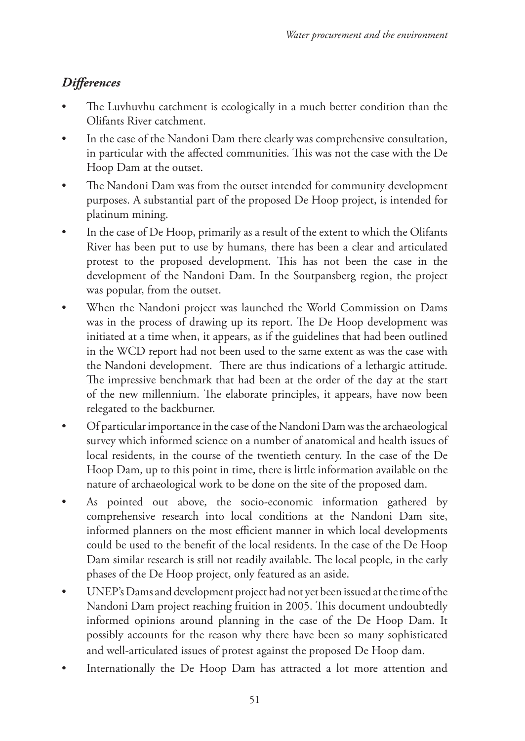# *Differences*

- The Luvhuvhu catchment is ecologically in a much better condition than the Olifants River catchment.
- In the case of the Nandoni Dam there clearly was comprehensive consultation, in particular with the affected communities. This was not the case with the De Hoop Dam at the outset.
- The Nandoni Dam was from the outset intended for community development purposes. A substantial part of the proposed De Hoop project, is intended for platinum mining.
- In the case of De Hoop, primarily as a result of the extent to which the Olifants River has been put to use by humans, there has been a clear and articulated protest to the proposed development. This has not been the case in the development of the Nandoni Dam. In the Soutpansberg region, the project was popular, from the outset.
- When the Nandoni project was launched the World Commission on Dams was in the process of drawing up its report. The De Hoop development was initiated at a time when, it appears, as if the guidelines that had been outlined in the WCD report had not been used to the same extent as was the case with the Nandoni development. There are thus indications of a lethargic attitude. The impressive benchmark that had been at the order of the day at the start of the new millennium. The elaborate principles, it appears, have now been relegated to the backburner.
- Of particular importance in the case of the Nandoni Dam was the archaeological survey which informed science on a number of anatomical and health issues of local residents, in the course of the twentieth century. In the case of the De Hoop Dam, up to this point in time, there is little information available on the nature of archaeological work to be done on the site of the proposed dam.
- As pointed out above, the socio-economic information gathered by comprehensive research into local conditions at the Nandoni Dam site, informed planners on the most efficient manner in which local developments could be used to the benefit of the local residents. In the case of the De Hoop Dam similar research is still not readily available. The local people, in the early phases of the De Hoop project, only featured as an aside.
- UNEP's Dams and development project had not yet been issued at the time of the Nandoni Dam project reaching fruition in 2005. This document undoubtedly informed opinions around planning in the case of the De Hoop Dam. It possibly accounts for the reason why there have been so many sophisticated and well-articulated issues of protest against the proposed De Hoop dam.
- Internationally the De Hoop Dam has attracted a lot more attention and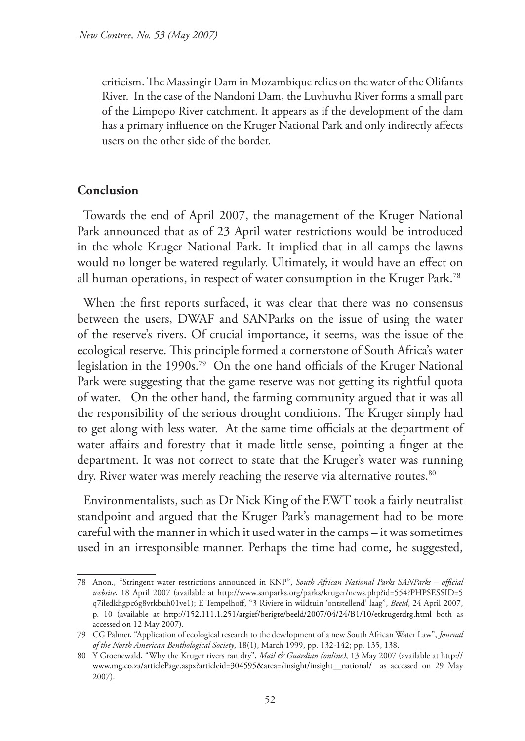criticism. The Massingir Dam in Mozambique relies on the water of the Olifants River. In the case of the Nandoni Dam, the Luvhuvhu River forms a small part of the Limpopo River catchment. It appears as if the development of the dam has a primary influence on the Kruger National Park and only indirectly affects users on the other side of the border.

#### **Conclusion**

Towards the end of April 2007, the management of the Kruger National Park announced that as of 23 April water restrictions would be introduced in the whole Kruger National Park. It implied that in all camps the lawns would no longer be watered regularly. Ultimately, it would have an effect on all human operations, in respect of water consumption in the Kruger Park.78

When the first reports surfaced, it was clear that there was no consensus between the users, DWAF and SANParks on the issue of using the water of the reserve's rivers. Of crucial importance, it seems, was the issue of the ecological reserve. This principle formed a cornerstone of South Africa's water legislation in the 1990s.79 On the one hand officials of the Kruger National Park were suggesting that the game reserve was not getting its rightful quota of water. On the other hand, the farming community argued that it was all the responsibility of the serious drought conditions. The Kruger simply had to get along with less water. At the same time officials at the department of water affairs and forestry that it made little sense, pointing a finger at the department. It was not correct to state that the Kruger's water was running dry. River water was merely reaching the reserve via alternative routes.<sup>80</sup>

Environmentalists, such as Dr Nick King of the EWT took a fairly neutralist standpoint and argued that the Kruger Park's management had to be more careful with the manner in which it used water in the camps – it was sometimes used in an irresponsible manner. Perhaps the time had come, he suggested,

<sup>78</sup> Anon., "Stringent water restrictions announced in KNP", *South African National Parks SANParks – official website*, 18 April 2007 (available at http://www.sanparks.org/parks/kruger/news.php?id=554?PHPSESSID=5 q7iledkhgpc6g8vrkbuh01ve1); E Tempelhoff, "3 Riviere in wildtuin 'ontstellend' laag", *Beeld*, 24 April 2007, p. 10 (available at http://152.111.1.251/argief/berigte/beeld/2007/04/24/B1/10/etkrugerdrg.html both as accessed on 12 May 2007).

<sup>79</sup> CG Palmer, "Application of ecological research to the development of a new South African Water Law", *Journal of the North American Benthological Society*, 18(1), March 1999, pp. 132-142; pp. 135, 138.

<sup>80</sup> Y Groenewald, "Why the Kruger rivers ran dry", *Mail & Guardian (online)*, 13 May 2007 (available at http:// www.mg.co.za/articlePage.aspx?articleid=304595&area=/insight/insight\_\_national/ as accessed on 29 May 2007).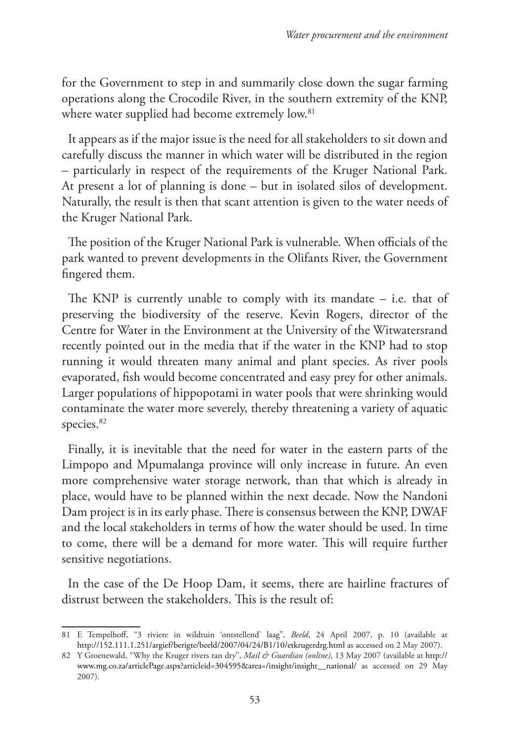for the Government to step in and summarily close down the sugar farming operations along the Crocodile River, in the southern extremity of the KNP, where water supplied had become extremely low.<sup>81</sup>

It appears as if the major issue is the need for all stakeholders to sit down and carefully discuss the manner in which water will be distributed in the region – particularly in respect of the requirements of the Kruger National Park. At present a lot of planning is done – but in isolated silos of development. Naturally, the result is then that scant attention is given to the water needs of the Kruger National Park.

The position of the Kruger National Park is vulnerable. When officials of the park wanted to prevent developments in the Olifants River, the Government fingered them.

The KNP is currently unable to comply with its mandate  $-$  i.e. that of preserving the biodiversity of the reserve. Kevin Rogers, director of the Centre for Water in the Environment at the University of the Witwatersrand recently pointed out in the media that if the water in the KNP had to stop running it would threaten many animal and plant species. As river pools evaporated, fish would become concentrated and easy prey for other animals. Larger populations of hippopotami in water pools that were shrinking would contaminate the water more severely, thereby threatening a variety of aquatic species.<sup>82</sup>

Finally, it is inevitable that the need for water in the eastern parts of the Limpopo and Mpumalanga province will only increase in future. An even more comprehensive water storage network, than that which is already in place, would have to be planned within the next decade. Now the Nandoni Dam project is in its early phase. There is consensus between the KNP, DWAF and the local stakeholders in terms of how the water should be used. In time to come, there will be a demand for more water. This will require further sensitive negotiations.

In the case of the De Hoop Dam, it seems, there are hairline fractures of distrust between the stakeholders. This is the result of:

<sup>81</sup> E Tempelhoff, "3 riviere in wildtuin 'ontstellend' laag", *Beeld*, 24 April 2007, p. 10 (available at http://152.111.1.251/argief/berigte/beeld/2007/04/24/B1/10/etkrugerdrg.html as accessed on 2 May 2007).

<sup>82</sup> Y Groenewald, "Why the Kruger rivers ran dry", *Mail & Guardian (online)*, 13 May 2007 (available at http:// www.mg.co.za/articlePage.aspx?articleid=304595&area=/insight/insight\_\_national/ as accessed on 29 May 2007).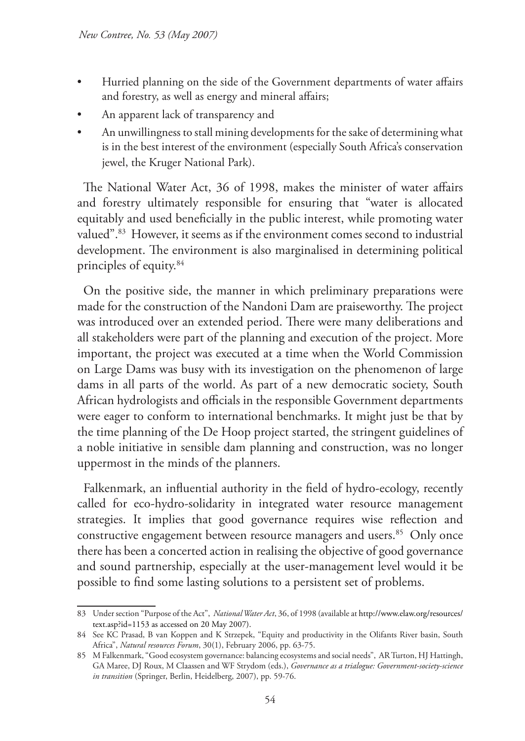- Hurried planning on the side of the Government departments of water affairs and forestry, as well as energy and mineral affairs;
- An apparent lack of transparency and
- An unwillingness to stall mining developments for the sake of determining what is in the best interest of the environment (especially South Africa's conservation jewel, the Kruger National Park).

The National Water Act, 36 of 1998, makes the minister of water affairs and forestry ultimately responsible for ensuring that "water is allocated equitably and used beneficially in the public interest, while promoting water valued".83 However, it seems as if the environment comes second to industrial development. The environment is also marginalised in determining political principles of equity.84

On the positive side, the manner in which preliminary preparations were made for the construction of the Nandoni Dam are praiseworthy. The project was introduced over an extended period. There were many deliberations and all stakeholders were part of the planning and execution of the project. More important, the project was executed at a time when the World Commission on Large Dams was busy with its investigation on the phenomenon of large dams in all parts of the world. As part of a new democratic society, South African hydrologists and officials in the responsible Government departments were eager to conform to international benchmarks. It might just be that by the time planning of the De Hoop project started, the stringent guidelines of a noble initiative in sensible dam planning and construction, was no longer uppermost in the minds of the planners.

Falkenmark, an influential authority in the field of hydro-ecology, recently called for eco-hydro-solidarity in integrated water resource management strategies. It implies that good governance requires wise reflection and constructive engagement between resource managers and users.<sup>85</sup> Only once there has been a concerted action in realising the objective of good governance and sound partnership, especially at the user-management level would it be possible to find some lasting solutions to a persistent set of problems.

<sup>83</sup> Under section "Purpose of the Act", *National Water Act*, 36, of 1998 (available at http://www.elaw.org/resources/ text.asp?id=1153 as accessed on 20 May 2007).

<sup>84</sup> See KC Prasad, B van Koppen and K Strzepek, "Equity and productivity in the Olifants River basin, South Africa", *Natural resources Forum*, 30(1), February 2006, pp. 63-75.

<sup>85</sup> M Falkenmark, "Good ecosystem governance: balancing ecosystems and social needs", AR Turton, HJ Hattingh, GA Maree, DJ Roux, M Claassen and WF Strydom (eds.), *Governance as a trialogue: Government-society-science in transition* (Springer, Berlin, Heidelberg, 2007), pp. 59-76.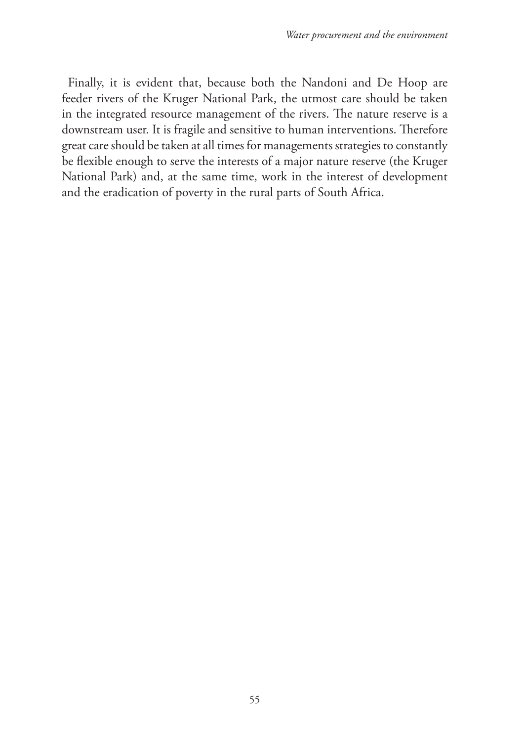Finally, it is evident that, because both the Nandoni and De Hoop are feeder rivers of the Kruger National Park, the utmost care should be taken in the integrated resource management of the rivers. The nature reserve is a downstream user. It is fragile and sensitive to human interventions. Therefore great care should be taken at all times for managements strategies to constantly be flexible enough to serve the interests of a major nature reserve (the Kruger National Park) and, at the same time, work in the interest of development and the eradication of poverty in the rural parts of South Africa.